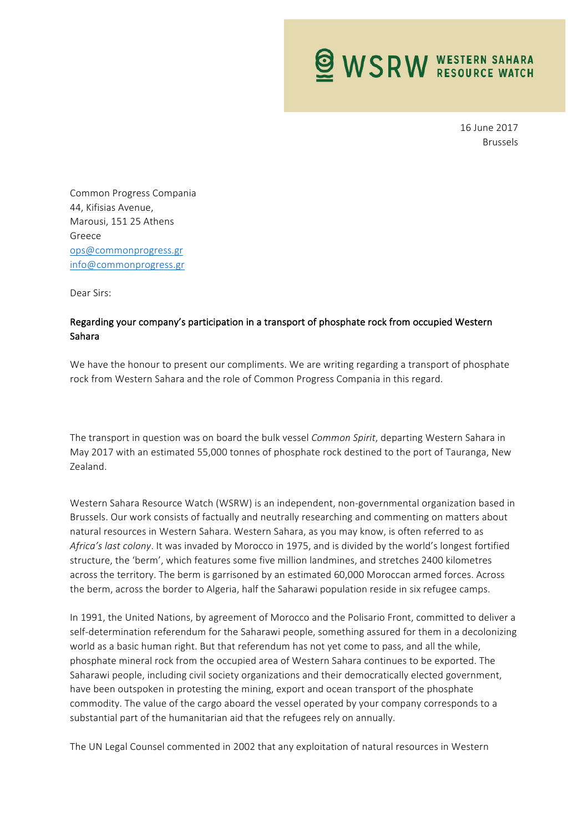

16 June 2017 Brussels

Common Progress Compania 44, Kifisias Avenue, Marousi, 151 25 Athens Greece ops@commonprogress.gr info@commonprogress.gr

Dear Sirs:

## Regarding your company's participation in a transport of phosphate rock from occupied Western Sahara

We have the honour to present our compliments. We are writing regarding a transport of phosphate rock from Western Sahara and the role of Common Progress Compania in this regard.

The transport in question was on board the bulk vessel *Common Spirit*, departing Western Sahara in May 2017 with an estimated 55,000 tonnes of phosphate rock destined to the port of Tauranga, New Zealand.

Western Sahara Resource Watch (WSRW) is an independent, non-governmental organization based in Brussels. Our work consists of factually and neutrally researching and commenting on matters about natural resources in Western Sahara. Western Sahara, as you may know, is often referred to as *Africa's last colony*. It was invaded by Morocco in 1975, and is divided by the world's longest fortified structure, the 'berm', which features some five million landmines, and stretches 2400 kilometres across the territory. The berm is garrisoned by an estimated 60,000 Moroccan armed forces. Across the berm, across the border to Algeria, half the Saharawi population reside in six refugee camps.

In 1991, the United Nations, by agreement of Morocco and the Polisario Front, committed to deliver a self-determination referendum for the Saharawi people, something assured for them in a decolonizing world as a basic human right. But that referendum has not yet come to pass, and all the while, phosphate mineral rock from the occupied area of Western Sahara continues to be exported. The Saharawi people, including civil society organizations and their democratically elected government, have been outspoken in protesting the mining, export and ocean transport of the phosphate commodity. The value of the cargo aboard the vessel operated by your company corresponds to a substantial part of the humanitarian aid that the refugees rely on annually.

The UN Legal Counsel commented in 2002 that any exploitation of natural resources in Western